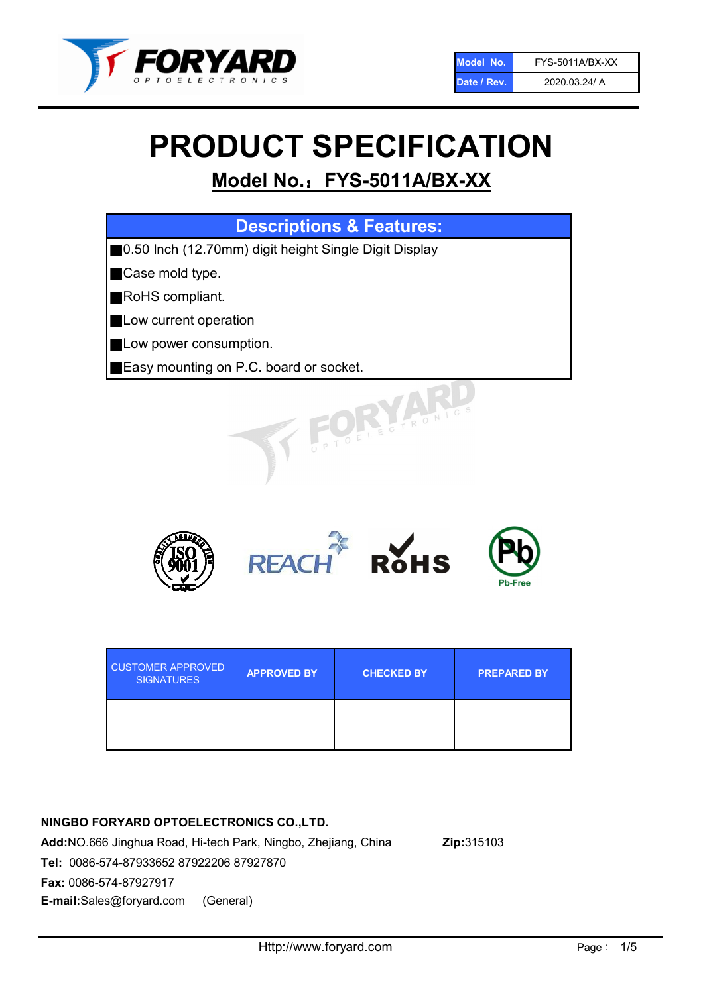

# PRODUCT SPECIFICATION

# Model No.: FYS-5011A/BX-XX

| <b>Descriptions &amp; Features:</b>                    |
|--------------------------------------------------------|
| ■0.50 Inch (12.70mm) digit height Single Digit Display |
| Case mold type.                                        |
| RoHS compliant.                                        |
| Low current operation                                  |
| Low power consumption.                                 |
| Easy mounting on P.C. board or socket.                 |
| JK JAMES                                               |



| <b>CUSTOMER APPROVED</b><br><b>SIGNATURES</b> | <b>APPROVED BY</b> | <b>CHECKED BY</b> | <b>PREPARED BY</b> |
|-----------------------------------------------|--------------------|-------------------|--------------------|
|                                               |                    |                   |                    |

## NINGBO FORYARD OPTOELECTRONICS CO.,LTD.

Add:NO.666 Jinghua Road, Hi-tech Park, Ningbo, Zhejiang, China Zip:315103 Tel: 0086-574-87933652 87922206 87927870 Fax: 0086-574-87927917 E-mail:Sales@foryard.com (General)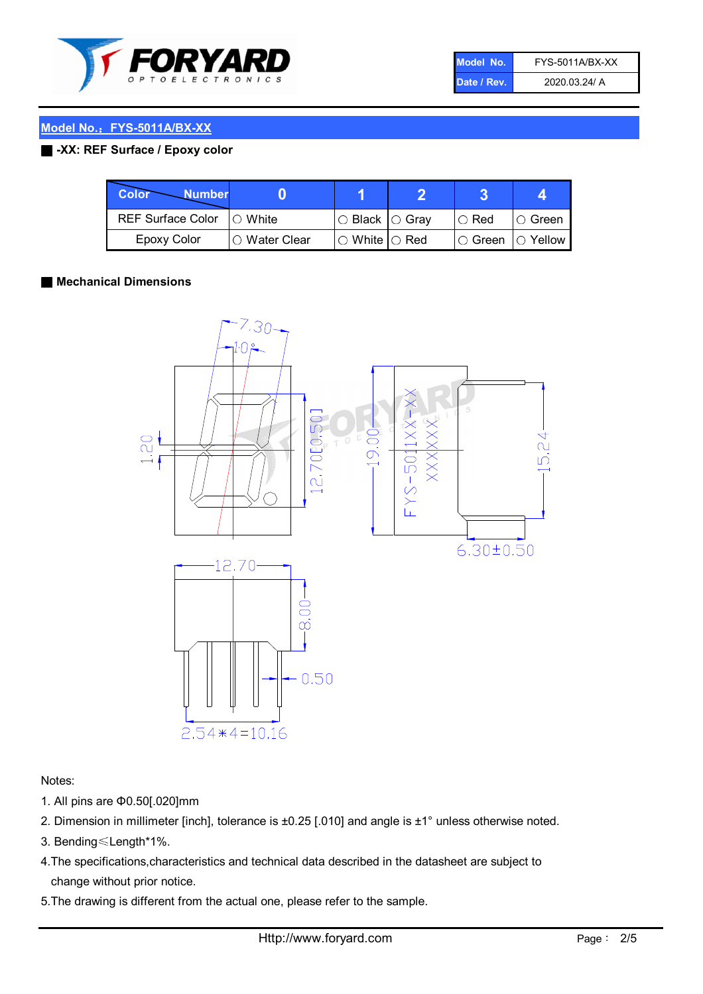

| Model No.   | FYS-5011A/BX-XX |
|-------------|-----------------|
| Date / Rev. | 2020.03.24/ A   |

#### Model No.: FYS-5011A/BX-XX

#### ■ -XX: REF Surface / Epoxy color

| Color<br><b>Number</b>     |                 |                           |             |                |
|----------------------------|-----------------|---------------------------|-------------|----------------|
| REF Surface Color  ○ White |                 | ○ Black  ○ Gray           | $\circ$ Red | IO Green       |
| Epoxy Color                | l ⊜ Water Clear | $\circ$ White $\circ$ Red | I⊖ Green    | $\circ$ Yellow |

#### ■ Mechanical Dimensions



Notes:

- 1. All pins are Φ0.50[.020]mm
- 2. Dimension in millimeter [inch], tolerance is ±0.25 [.010] and angle is ±1° unless otherwise noted.
- 3. Bending≤Length\*1%.
- 4.The specifications,characteristics and technical data described in the datasheet are subject to change without prior notice.
- 5.The drawing is different from the actual one, please refer to the sample.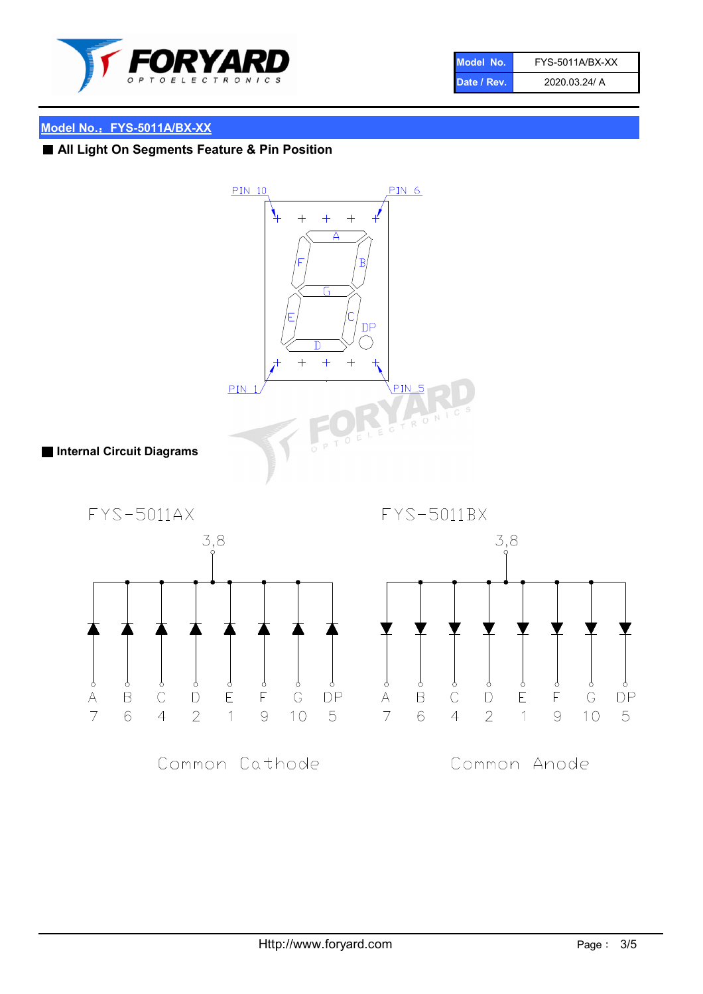

| Model No.   | FYS-5011A/BX-XX |
|-------------|-----------------|
| Date / Rev. | 2020.03.24/ A   |

### Model No.: FYS-5011A/BX-XX

# ■ All Light On Segments Feature & Pin Position

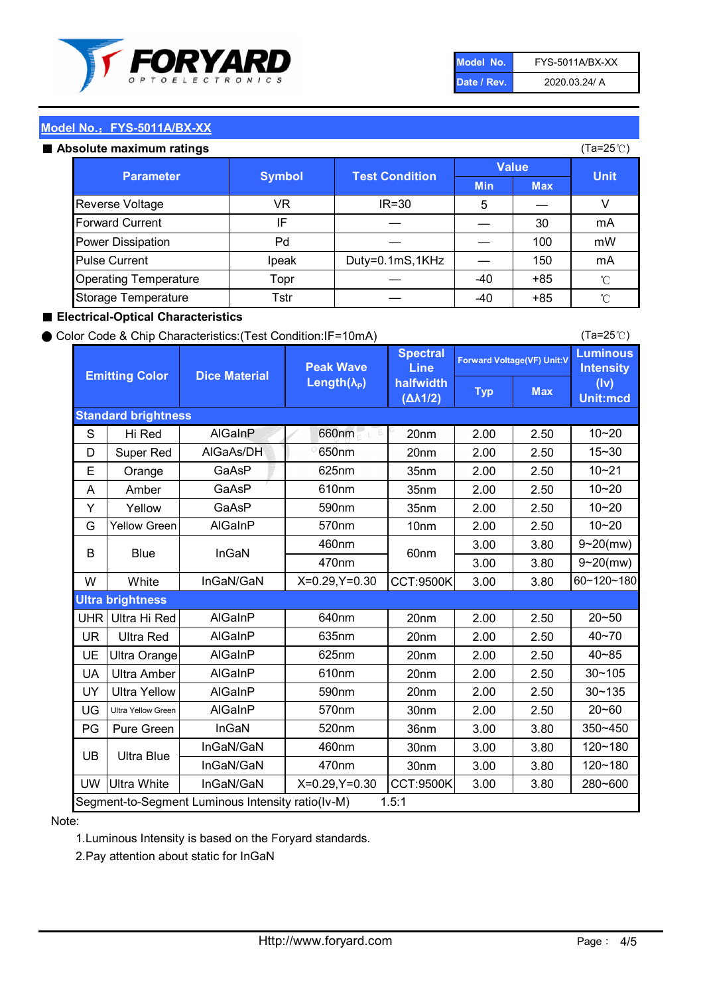

| Model No.   | FYS-5011A/BX-XX |
|-------------|-----------------|
| Date / Rev. | 2020.03.24/ A   |

(Ta=25℃)

#### Model No.: FYS-5011A/BX-XX

#### Absolute maximum

| solute maximum ratings       |               |                       |              |            | (Ta=25℃)    |
|------------------------------|---------------|-----------------------|--------------|------------|-------------|
| <b>Parameter</b>             | <b>Symbol</b> | <b>Test Condition</b> | <b>Value</b> |            |             |
|                              |               |                       | <b>Min</b>   | <b>Max</b> | <b>Unit</b> |
| Reverse Voltage              | VR            | $IR = 30$             | 5            |            |             |
| <b>Forward Current</b>       | ΙF            |                       |              | 30         | mA          |
| Power Dissipation            | Pd            |                       |              | 100        | mW          |
| <b>Pulse Current</b>         | Ipeak         | Duty=0.1mS,1KHz       |              | 150        | mA          |
| <b>Operating Temperature</b> | Topr          |                       | $-40$        | $+85$      | °C          |
| Storage Temperature          | Tstr          |                       | $-40$        | $+85$      | °C          |

#### ■ Electrical-Optical Characteristics

#### ● Color Code & Chip Characteristics:(Test Condition:IF=10mA)

Typ Max S | Hi $\textsf{Red}$  | AlGaInP | 660nm LE 20nm | 2.00 | 2.50 D | Super Red | AIGaAs/DH | 650nm | 20nm | 2.00 | 2.50 E | Orange | GaAsP | 625nm | 35nm | 2.00 | 2.50 A | Amber | GaAsP | 610nm | 35nm | 2.00 | 2.50 Y | Yellow | GaAsP | 590nm | 35nm | 2.00 | 2.50 G Yellow Green AIGaInP | 570nm | 10nm | 2.00 | 2.50 3.00 3.80 3.00 3.80 W | White | InGaN/GaN | X=0.29,Y=0.30 |CCT:9500K| 3.00 | 3.80 UHR Ultra Hi Red | AlGaInP | 640nm | 20nm | 2.00 | 2.50 UR | Ultra Red | AlGaInP | 635nm | 20nm | 2.00 | 2.50 UE Ultra Orange | AIGaInP | 625nm | 20nm | 2.00 | 2.50 UA Ultra Amber | AIGaInP | 610nm | 20nm | 2.00 | 2.50  $UV$  Ultra Yellow  $\vert$  AlGaInP  $\vert$  590nm  $\vert$  20nm  $\vert$  2.00  $\vert$  2.50  $\text{UG}$  Ultra Yellow Green | AIGaInP | 570nm | 30nm | 2.00 | 2.50 PG Pure Green | InGaN | 520nm | 36nm | 3.00 | 3.80 30nm 3.00 3.80 30nm 3.00 3.80 UW |Ultra White | InGaN/GaN | X=0.29,Y=0.30 |CCT:9500K| 3.00 | 3.80 10~20 Standard brightness Forward Voltage(VF) Unit:V 15~30 10~20 625nm GaAsP 590nm **Emitting Color Dice Material** 10~21 610nm 10~20 Luminous **Intensity** (Iv) Unit:mcd AlGainP 660nm GaAsP GaAsP AlGaAs/DH **Spectral** Line halfwidth (∆λ1/2) Peak Wave Length $(\lambda_{\rm P})$ UB 460nm 635nm AlGaInP AlGaInP AlGaInP InGaN/GaN AlGaInP | 570nm | 10nm | 2.00 | 2.50 | 10~20 30~105 30~135 460nm 520nm Ultra brightness **AlGaInP** AlGaInP 60nm AlGaInP 640nm Segment-to-Segment Luminous Intensity ratio(Iv-M) 1.5:1 610nm 9~20(mw) 350~450 470nm 120~180 120~180 Ultra Blue InGaN/GaN InGaN/GaN 9~20(mw) 20~50 280~600 570nm | 30nm | 2.00 | 2.50 | 20~60 470nm 590nm InGaN/GaN B Blue I InGaN 40~85 60~120~180 40~70

#### Note:

1.Luminous Intensity is based on the Foryard standards.

2.Pay attention about static for InGaN